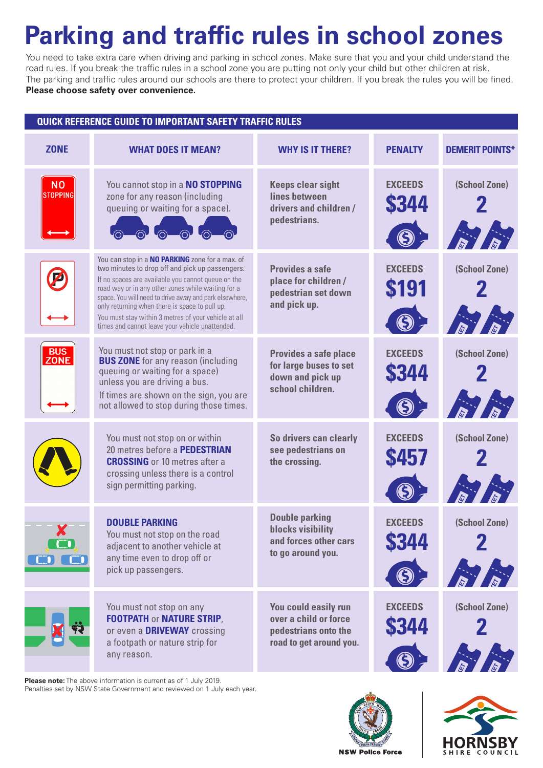## **Parking and traffic rules in school zones**

You need to take extra care when driving and parking in school zones. Make sure that you and your child understand the road rules. If you break the traffic rules in a school zone you are putting not only your child but other children at risk. The parking and traffic rules around our schools are there to protect your children. If you break the rules you will be fined. **Please choose safety over convenience.**

| QUICK REFERENCE GUIDE TO IMPORTANT SAFETY TRAFFIC RULES |                                                                                                                                                                                                                                                                                                                                                                                                                                       |                                                                                                  |                                                                                  |                        |
|---------------------------------------------------------|---------------------------------------------------------------------------------------------------------------------------------------------------------------------------------------------------------------------------------------------------------------------------------------------------------------------------------------------------------------------------------------------------------------------------------------|--------------------------------------------------------------------------------------------------|----------------------------------------------------------------------------------|------------------------|
| <b>ZONE</b>                                             | <b>WHAT DOES IT MEAN?</b>                                                                                                                                                                                                                                                                                                                                                                                                             | <b>WHY IS IT THERE?</b>                                                                          | <b>PENALTY</b>                                                                   | <b>DEMERIT POINTS*</b> |
| <b>NO</b><br><b>STOPPING</b>                            | You cannot stop in a NO STOPPING<br>zone for any reason (including<br>queuing or waiting for a space).<br>606060                                                                                                                                                                                                                                                                                                                      | <b>Keeps clear sight</b><br>lines between<br>drivers and children /<br>pedestrians.              | <b>EXCEEDS</b><br><b>\$344</b>                                                   | (School Zone)          |
|                                                         | You can stop in a NO PARKING zone for a max. of<br>two minutes to drop off and pick up passengers.<br>If no spaces are available you cannot queue on the<br>road way or in any other zones while waiting for a<br>space. You will need to drive away and park elsewhere,<br>only returning when there is space to pull up.<br>You must stay within 3 metres of your vehicle at all<br>times and cannot leave your vehicle unattended. | <b>Provides a safe</b><br>place for children /<br>pedestrian set down<br>and pick up.            | <b>EXCEEDS</b><br><b>\$191</b>                                                   | (School Zone)          |
| <b>BUS</b><br><b>ZONE</b>                               | You must not stop or park in a<br><b>BUS ZONE</b> for any reason (including<br>queuing or waiting for a space)<br>unless you are driving a bus.<br>If times are shown on the sign, you are<br>not allowed to stop during those times.                                                                                                                                                                                                 | Provides a safe place<br>for large buses to set<br>down and pick up<br>school children.          | <b>EXCEEDS</b><br><b>\$344</b><br>$\boldsymbol{\zeta}$                           | (School Zone)          |
|                                                         | You must not stop on or within<br>20 metres before a <b>PEDESTRIAN</b><br><b>CROSSING</b> or 10 metres after a<br>crossing unless there is a control<br>sign permitting parking.                                                                                                                                                                                                                                                      | So drivers can clearly<br>see pedestrians on<br>the crossing.                                    | <b>EXCEEDS</b><br>457                                                            | (School Zone)          |
|                                                         | <b>DOUBLE PARKING</b><br>You must not stop on the road<br>adjacent to another vehicle at<br>any time even to drop off or<br>pick up passengers.                                                                                                                                                                                                                                                                                       | <b>Double parking</b><br><b>blocks visibility</b><br>and forces other cars<br>to go around you.  | <b>EXCEEDS</b><br>\$344<br>$\mathbf{S}% _{T}=\mathbf{S}_{T}\times\mathbf{S}_{T}$ | (School Zone)          |
|                                                         | You must not stop on any<br><b>FOOTPATH or NATURE STRIP,</b><br>or even a DRIVEWAY crossing<br>a footpath or nature strip for<br>any reason.                                                                                                                                                                                                                                                                                          | You could easily run<br>over a child or force<br>pedestrians onto the<br>road to get around you. | <b>EXCEEDS</b><br><b>\$344</b>                                                   | (School Zone)          |

**Please note:** The above information is current as of 1 July 2019. Penalties set by NSW State Government and reviewed on 1 July each year.